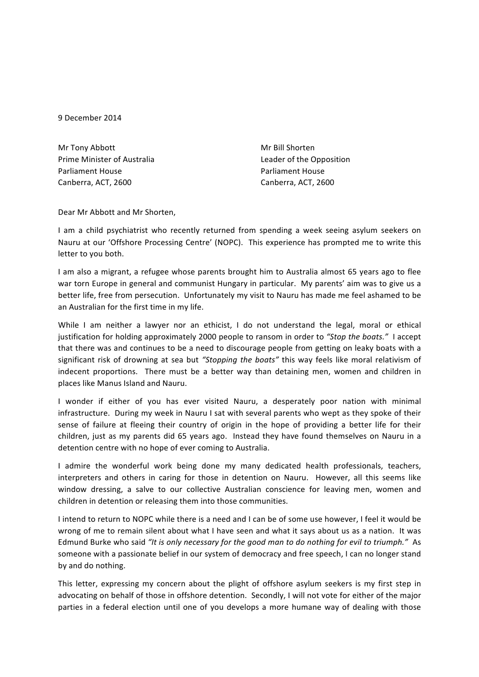9 December 2014

| Mr Tony Abbott              |
|-----------------------------|
| Prime Minister of Australia |
| <b>Parliament House</b>     |
| Canberra, ACT, 2600         |

Mr Bill Shorten Leader of the Opposition Parliament House Canberra, ACT, 2600

Dear Mr Abbott and Mr Shorten,

I am a child psychiatrist who recently returned from spending a week seeing asylum seekers on Nauru at our 'Offshore Processing Centre' (NOPC). This experience has prompted me to write this letter to you both.

I am also a migrant, a refugee whose parents brought him to Australia almost 65 years ago to flee war torn Europe in general and communist Hungary in particular. My parents' aim was to give us a better life, free from persecution. Unfortunately my visit to Nauru has made me feel ashamed to be an Australian for the first time in my life.

While I am neither a lawyer nor an ethicist, I do not understand the legal, moral or ethical justification for holding approximately 2000 people to ransom in order to "Stop the boats." I accept that there was and continues to be a need to discourage people from getting on leaky boats with a significant risk of drowning at sea but "Stopping the boats" this way feels like moral relativism of indecent proportions. There must be a better way than detaining men, women and children in places like Manus Island and Nauru.

I wonder if either of you has ever visited Nauru, a desperately poor nation with minimal infrastructure. During my week in Nauru I sat with several parents who wept as they spoke of their sense of failure at fleeing their country of origin in the hope of providing a better life for their children, just as my parents did 65 years ago. Instead they have found themselves on Nauru in a detention centre with no hope of ever coming to Australia.

I admire the wonderful work being done my many dedicated health professionals, teachers, interpreters and others in caring for those in detention on Nauru. However, all this seems like window dressing, a salve to our collective Australian conscience for leaving men, women and children in detention or releasing them into those communities.

I intend to return to NOPC while there is a need and I can be of some use however, I feel it would be wrong of me to remain silent about what I have seen and what it says about us as a nation. It was Edmund Burke who said "It is only necessary for the good man to do nothing for evil to triumph." As someone with a passionate belief in our system of democracy and free speech, I can no longer stand by and do nothing.

This letter, expressing my concern about the plight of offshore asylum seekers is my first step in advocating on behalf of those in offshore detention. Secondly, I will not vote for either of the major parties in a federal election until one of you develops a more humane way of dealing with those